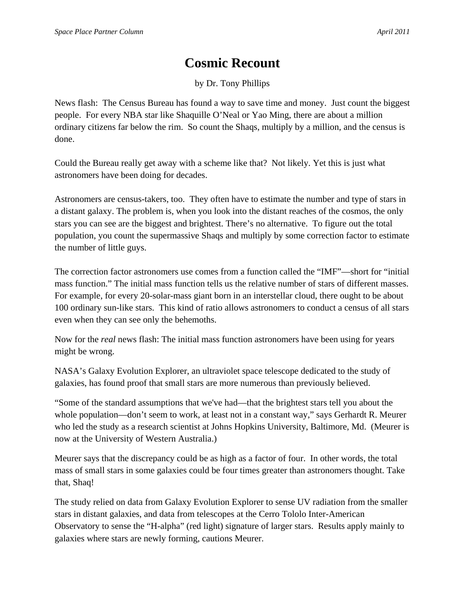## **Cosmic Recount**

by Dr. Tony Phillips

News flash: The Census Bureau has found a way to save time and money. Just count the biggest people. For every NBA star like Shaquille O'Neal or Yao Ming, there are about a million ordinary citizens far below the rim. So count the Shaqs, multiply by a million, and the census is done.

Could the Bureau really get away with a scheme like that? Not likely. Yet this is just what astronomers have been doing for decades.

Astronomers are census-takers, too. They often have to estimate the number and type of stars in a distant galaxy. The problem is, when you look into the distant reaches of the cosmos, the only stars you can see are the biggest and brightest. There's no alternative. To figure out the total population, you count the supermassive Shaqs and multiply by some correction factor to estimate the number of little guys.

The correction factor astronomers use comes from a function called the "IMF"—short for "initial mass function." The initial mass function tells us the relative number of stars of different masses. For example, for every 20-solar-mass giant born in an interstellar cloud, there ought to be about 100 ordinary sun-like stars. This kind of ratio allows astronomers to conduct a census of all stars even when they can see only the behemoths.

Now for the *real* news flash: The initial mass function astronomers have been using for years might be wrong.

NASA's Galaxy Evolution Explorer, an ultraviolet space telescope dedicated to the study of galaxies, has found proof that small stars are more numerous than previously believed.

"Some of the standard assumptions that we've had—that the brightest stars tell you about the whole population—don't seem to work, at least not in a constant way," says Gerhardt R. Meurer who led the study as a research scientist at Johns Hopkins University, Baltimore, Md. (Meurer is now at the University of Western Australia.)

Meurer says that the discrepancy could be as high as a factor of four. In other words, the total mass of small stars in some galaxies could be four times greater than astronomers thought. Take that, Shaq!

The study relied on data from Galaxy Evolution Explorer to sense UV radiation from the smaller stars in distant galaxies, and data from telescopes at the Cerro Tololo Inter-American Observatory to sense the "H-alpha" (red light) signature of larger stars. Results apply mainly to galaxies where stars are newly forming, cautions Meurer.